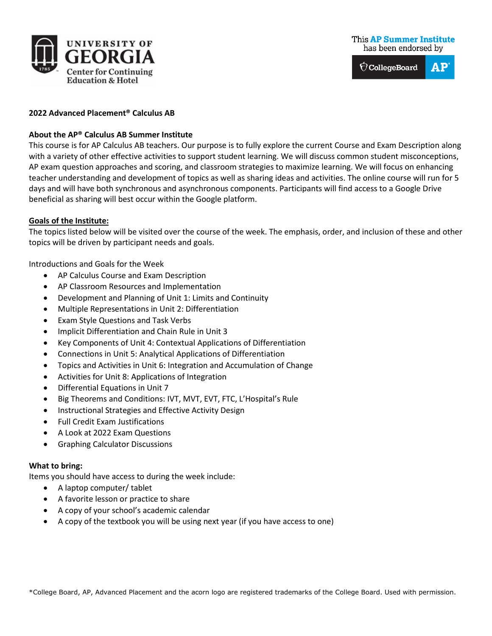

 $\bigcirc$  CollegeBoard  ${\bf AP}$ 

## **2022 Advanced Placement® Calculus AB**

# **About the AP® Calculus AB Summer Institute**

This course is for AP Calculus AB teachers. Our purpose is to fully explore the current Course and Exam Description along with a variety of other effective activities to support student learning. We will discuss common student misconceptions, AP exam question approaches and scoring, and classroom strategies to maximize learning. We will focus on enhancing teacher understanding and development of topics as well as sharing ideas and activities. The online course will run for 5 days and will have both synchronous and asynchronous components. Participants will find access to a Google Drive beneficial as sharing will best occur within the Google platform.

## **Goals of the Institute:**

The topics listed below will be visited over the course of the week. The emphasis, order, and inclusion of these and other topics will be driven by participant needs and goals.

Introductions and Goals for the Week

- AP Calculus Course and Exam Description
- AP Classroom Resources and Implementation
- Development and Planning of Unit 1: Limits and Continuity
- Multiple Representations in Unit 2: Differentiation
- Exam Style Questions and Task Verbs
- Implicit Differentiation and Chain Rule in Unit 3
- Key Components of Unit 4: Contextual Applications of Differentiation
- Connections in Unit 5: Analytical Applications of Differentiation
- Topics and Activities in Unit 6: Integration and Accumulation of Change
- Activities for Unit 8: Applications of Integration
- Differential Equations in Unit 7
- Big Theorems and Conditions: IVT, MVT, EVT, FTC, L'Hospital's Rule
- Instructional Strategies and Effective Activity Design
- Full Credit Exam Justifications
- A Look at 2022 Exam Questions
- Graphing Calculator Discussions

### **What to bring:**

Items you should have access to during the week include:

- A laptop computer/ tablet
- A favorite lesson or practice to share
- A copy of your school's academic calendar
- A copy of the textbook you will be using next year (if you have access to one)